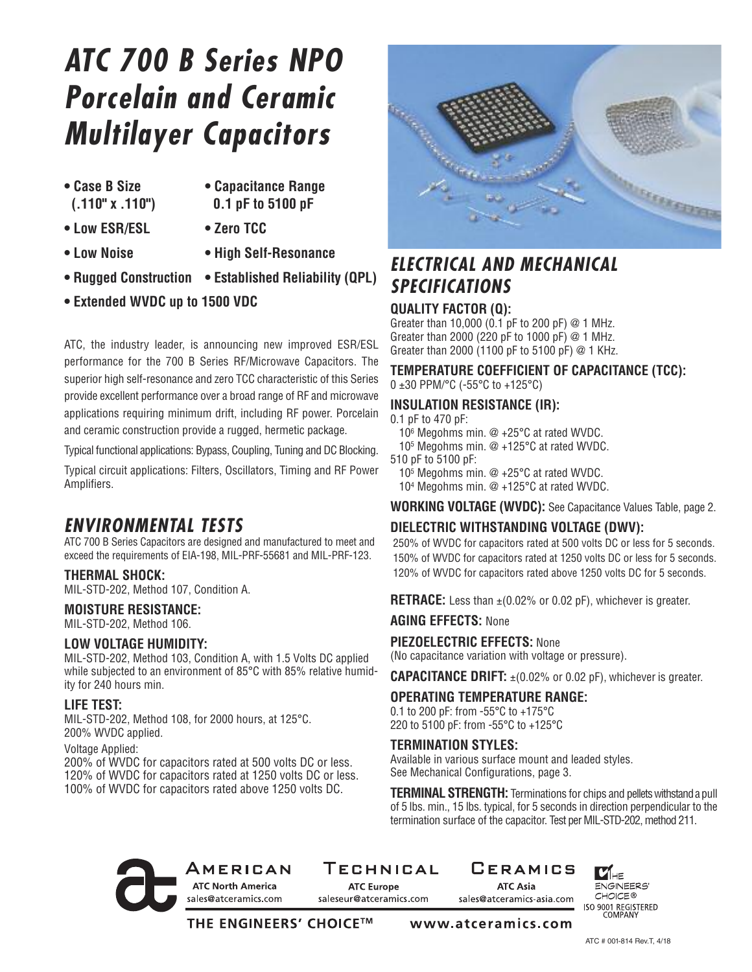# *ATC 700 B Series NPO Porcelain and Ceramic Multilayer Capacitors*

- 
- **• Case B Size • Capacitance Range (.110" x .110") 0.1 pF to 5100 pF**
- **• Low ESR/ESL • Zero TCC**
- 
- 
- **• Low Noise • High Self-Resonance**
- **• Rugged Construction • Established Reliability (QPL)**
- **• Extended WVDC up to 1500 VDC**

ATC, the industry leader, is announcing new improved ESR/ESL performance for the 700 B Series RF/Microwave Capacitors. The superior high self-resonance and zero TCC characteristic of this Series provide excellent performance over a broad range of RF and microwave applications requiring minimum drift, including RF power. Porcelain and ceramic construction provide a rugged, hermetic package.

Typical functional applications: Bypass, Coupling, Tuning and DC Blocking.

Typical circuit applications: Filters, Oscillators, Timing and RF Power Amplifiers.

### *ENVIRONMENTAL TESTS*

ATC 700 B Series Capacitors are designed and manufactured to meet and exceed the requirements of EIA-198, MIL-PRF-55681 and MIL-PRF-123.

#### **THERMAL SHOCK:**

MIL-STD-202, Method 107, Condition A.

#### **MOISTURE RESISTANCE:**

MIL-STD-202, Method 106.

#### **LOW VOLTAGE HUMIDITY:**

MIL-STD-202, Method 103, Condition A, with 1.5 Volts DC applied while subjected to an environment of 85°C with 85% relative humidity for 240 hours min.

#### **LIFE TEST:**

MIL-STD-202, Method 108, for 2000 hours, at 125°C. 200% WVDC applied.

Voltage Applied:

200% of WVDC for capacitors rated at 500 volts DC or less. 120% of WVDC for capacitors rated at 1250 volts DC or less. 100% of WVDC for capacitors rated above 1250 volts DC.



### *ELECTRICAL AND MECHANICAL SPECIFICATIONS*

#### **QUALITY FACTOR (Q):**

Greater than 10,000 (0.1 pF to 200 pF)  $@$  1 MHz. Greater than 2000 (220 pF to 1000 pF) @ 1 MHz. Greater than 2000 (1100 pF to 5100 pF) @ 1 KHz.

**TEMPERATURE COEFFICIENT OF CAPACITANCE (TCC):** 0 ±30 PPM/°C (-55°C to +125°C)

**INSULATION RESISTANCE (IR):**

#### 0.1 pF to 470 pF:

- 106 Megohms min. @ +25°C at rated WVDC.
- 105 Megohms min. @ +125°C at rated WVDC.
- 510 pF to 5100 pF:

105 Megohms min. @ +25°C at rated WVDC.

104 Megohms min. @ +125°C at rated WVDC.

**WORKING VOLTAGE (WVDC):** See Capacitance Values Table, page 2.

#### **DIELECTRIC WITHSTANDING VOLTAGE (DWV):**

250% of WVDC for capacitors rated at 500 volts DC or less for 5 seconds. 150% of WVDC for capacitors rated at 1250 volts DC or less for 5 seconds. 120% of WVDC for capacitors rated above 1250 volts DC for 5 seconds.

**RETRACE:** Less than  $\pm$ (0.02% or 0.02 pF), whichever is greater.

**AGING EFFECTS:** None

#### **PIEZOELECTRIC EFFECTS:** None

(No capacitance variation with voltage or pressure).

**CAPACITANCE DRIFT:** ±(0.02% or 0.02 pF), whichever is greater.

#### **OPERATING TEMPERATURE RANGE:**

0.1 to 200 pF: from -55°C to +175°C 220 to 5100 pF: from -55°C to +125°C

#### **TERMINATION STYLES:**

Available in various surface mount and leaded styles. See Mechanical Configurations, page 3.

**TERMINAL STRENGTH:** Terminations for chips and pellets withstand a pull of 5 lbs. min., 15 lbs. typical, for 5 seconds in direction perpendicular to the termination surface of the capacitor. Test per MIL-STD-202, method 211.

#### AMERICAN **ATC North America** sales@atceramics.com

TECHNICAL

**ATC Europe** saleseur@atceramics.com

**CERAMICS ATC Asia** sales@atceramics-asia.com

 $\mathbf{V}_{\mathsf{H}\mathsf{E}}$ ENGINEERS' CHOICE<sup>®</sup> ISO 9001 REGISTERED<br>COMPANY

THE ENGINEERS' CHOICE™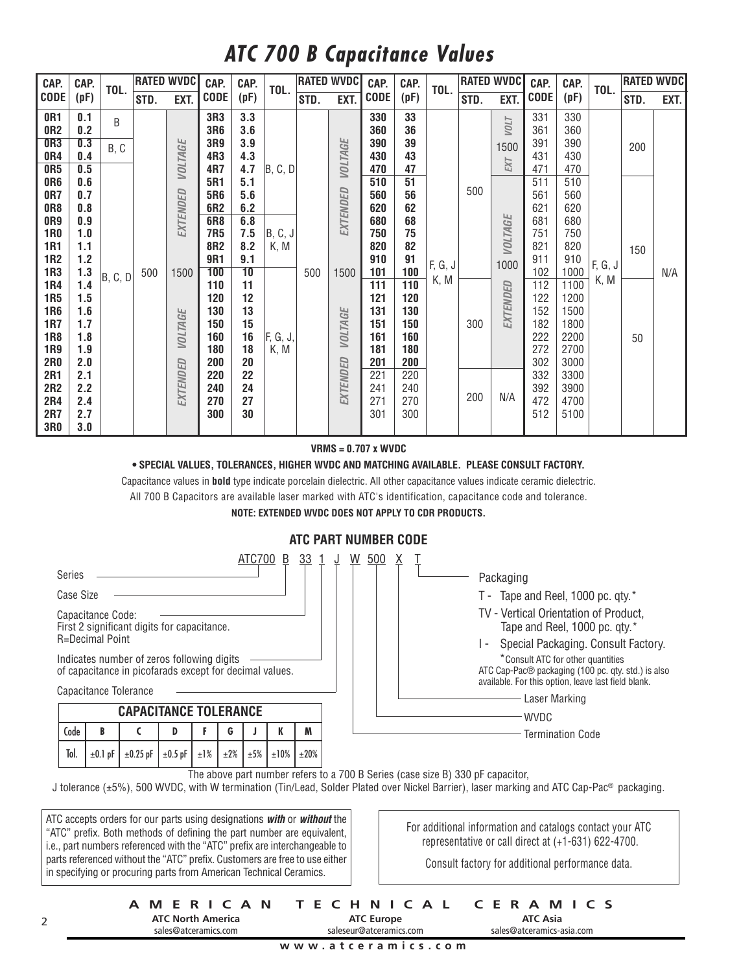## *ATC 700 B Capacitance Values*

| CAP.                                                                                                                              | CAP.                                                                             | TOL.      | <b>RATED WVDC</b> |                            | CAP.                                                                      | CAP.                                                                    | TOL.                               |      | <b>RATED WVDC</b>   | CAP.                                                                      | CAP.                                                                      | TOL.    |            | <b>RATED WVDC</b><br>CAP.     |                                                                           | CAP.<br>TOL.                                                                         |         | <b>RATED WVDC</b> |      |
|-----------------------------------------------------------------------------------------------------------------------------------|----------------------------------------------------------------------------------|-----------|-------------------|----------------------------|---------------------------------------------------------------------------|-------------------------------------------------------------------------|------------------------------------|------|---------------------|---------------------------------------------------------------------------|---------------------------------------------------------------------------|---------|------------|-------------------------------|---------------------------------------------------------------------------|--------------------------------------------------------------------------------------|---------|-------------------|------|
| <b>CODE</b>                                                                                                                       | (pF)                                                                             |           | STD.              | EXT.                       | <b>CODE</b>                                                               | (pF)                                                                    |                                    | STD. | EXT.                | <b>CODE</b>                                                               | (pF)                                                                      |         | STD.       | EXT.                          | <b>CODE</b>                                                               | (pF)                                                                                 |         | STD.              | EXT. |
| OR <sub>1</sub><br>OR <sub>2</sub><br><b>OR3</b><br>0R4                                                                           | 0.1<br>0.2<br>0.3<br>0.4                                                         | B<br>B, C |                   | <b>VOLTAGE</b>             | 3R3<br>3R6<br>3R9<br>4R3                                                  | 3.3<br>3.6<br>3.9<br>4.3                                                |                                    |      | <b>VOLTAGE</b>      | 330<br>360<br>390<br>430                                                  | 33<br>36<br>39<br>43                                                      |         |            | <b>TTON</b><br>1500           | 331<br>361<br>391<br>431                                                  | 330<br>360<br>390<br>430                                                             |         | 200               |      |
| 0R5<br>OR <sub>6</sub><br>0R7<br>OR <sub>8</sub><br>OR9<br><b>1R0</b><br><b>1R1</b><br><b>1R2</b><br><b>1R3</b>                   | 0.5<br>0.6<br>0.7<br>0.8<br>0.9<br>1.0<br>1.1<br>$1.2$<br>1.3                    |           | 500               | EXTENDED<br>1500           | 4R7<br>5R1<br><b>5R6</b><br>6R2<br><b>6R8</b><br>7R5<br>8R2<br>9R1<br>100 | 4.7<br>5.1<br>5.6<br>6.2<br>6.8<br>7.5<br>8.2<br>9.1<br>$\overline{10}$ | B, C, D<br><b>B</b> , C, J<br>K, M | 500  | EXTENDED<br>1500    | 470<br>510<br>560<br>620<br>680<br>750<br>820<br>910<br>101               | 47<br>51<br>56<br>62<br>68<br>75<br>82<br>91<br>100                       | F, G, J | 500        | EXT<br><b>VOLTAGE</b><br>1000 | 471<br>511<br>561<br>621<br>681<br>751<br>821<br>911<br>102               | 470<br>510<br>560<br>620<br>680<br>750<br>820<br>910<br>1000                         | F, G, J | 150               | N/A  |
| <b>1R4</b><br><b>1R5</b><br><b>1R6</b><br><b>1R7</b><br><b>1R8</b><br>1R9<br><b>2R0</b><br>2R1<br>2R2<br>2R4<br>2R7<br><b>3R0</b> | 1.4<br>1.5<br>1.6<br>1.7<br>1.8<br>1.9<br>2.0<br>2.1<br>2.2<br>2.4<br>2.7<br>3.0 | B, C, D   |                   | <b>VOLTAGE</b><br>EXTENDED | 110<br>120<br>130<br>150<br>160<br>180<br>200<br>220<br>240<br>270<br>300 | 11<br>12<br>13<br>15<br>16<br>18<br>20<br>22<br>24<br>27<br>30          | F, G, J,<br>K, M                   |      | VOLTAGE<br>EXTENDED | 111<br>121<br>131<br>151<br>161<br>181<br>201<br>221<br>241<br>271<br>301 | 110<br>120<br>130<br>150<br>160<br>180<br>200<br>220<br>240<br>270<br>300 | K, M    | 300<br>200 | EXTENDED<br>N/A               | 112<br>122<br>152<br>182<br>222<br>272<br>302<br>332<br>392<br>472<br>512 | 1100<br>1200<br>1500<br>1800<br>2200<br>2700<br>3000<br>3300<br>3900<br>4700<br>5100 | K, M    | 50                |      |

**VRMS = 0.707 x WVDC**

#### **• SPECIAL VALUES, TOLERANCES, HIGHER WVDC AND MATCHING AVAILABLE. PLEASE CONSULT FACTORY.**

Capacitance values in **bold** type indicate porcelain dielectric. All other capacitance values indicate ceramic dielectric. All 700 B Capacitors are available laser marked with ATC's identification, capacitance code and tolerance.

**NOTE: EXTENDED WVDC DOES NOT APPLY TO CDR PRODUCTS.**



#### **AMERICAN TECHNICAL CERAMICS ATC North America**

**ATC Europe** saleseur@atceramics.com

**ATC Asia** sales@atceramics-asia.com

**www.atceramics.com**

sales@atceramics.com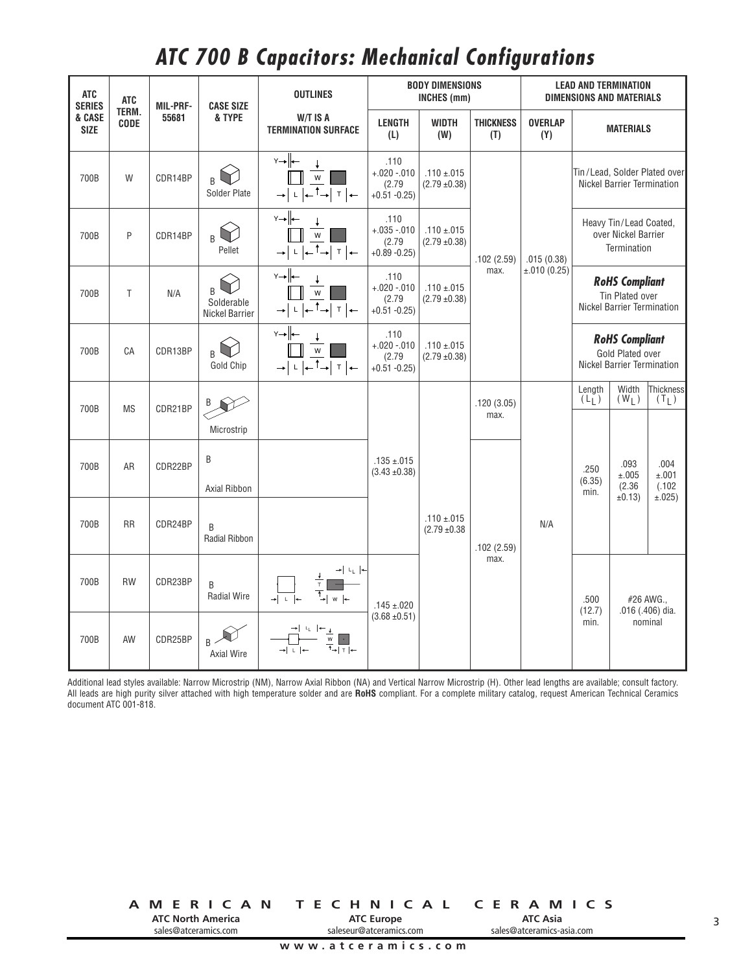## *ATC 700 B Capacitors: Mechanical Configurations*

| <b>ATC</b><br><b>SERIES</b>                   | <b>ATC</b><br><b>MIL-PRF-</b><br><b>CASE SIZE</b> |         | <b>OUTLINES</b>                   |                                                                              | <b>BODY DIMENSIONS</b><br><b>INCHES</b> (mm)     | <b>LEAD AND TERMINATION</b><br><b>DIMENSIONS AND MATERIALS</b> |                         |                       |                                                                                |                                          |                              |
|-----------------------------------------------|---------------------------------------------------|---------|-----------------------------------|------------------------------------------------------------------------------|--------------------------------------------------|----------------------------------------------------------------|-------------------------|-----------------------|--------------------------------------------------------------------------------|------------------------------------------|------------------------------|
| TERM.<br>& CASE<br><b>CODE</b><br><b>SIZE</b> |                                                   | 55681   | & TYPE                            | W/T IS A<br><b>TERMINATION SURFACE</b>                                       | <b>LENGTH</b><br>(L)                             | <b>WIDTH</b><br>(W)                                            | <b>THICKNESS</b><br>(T) | <b>OVERLAP</b><br>(Y) |                                                                                | <b>MATERIALS</b>                         |                              |
| 700B                                          | W                                                 | CDR14BP | R.<br>Solder Plate                | $Y \rightarrow \left  \leftarrow \right $<br>W<br>$\top$                     | .110<br>$+.020-.010$<br>(2.79)<br>$+0.51 - 0.25$ | $.110 \pm .015$<br>$(2.79 \pm 0.38)$                           |                         |                       |                                                                                | Nickel Barrier Termination               | Tin/Lead, Solder Plated over |
| 700B                                          | P                                                 | CDR14BP | B<br>Pellet                       | Y→⊩<br>$\mathsf{W}$<br>-↑→  т  ←                                             | .110<br>$+.035-.010$<br>(2.79)<br>$+0.89 - 0.25$ | $.110 \pm .015$<br>$(2.79 \pm 0.38)$                           | .102(2.59)              | .015(0.38)            | Heavy Tin/Lead Coated,<br>over Nickel Barrier<br>Termination                   |                                          |                              |
| 700B                                          | T                                                 | N/A     | B<br>Solderable<br>Nickel Barrier | $Y \rightarrow$<br>W<br>—∫⊤ ∣⊷ <sup>т</sup> ⊣                                | .110<br>$+.020-.010$<br>(2.79)<br>$+0.51 -0.25$  | $.110 \pm .015$<br>$(2.79 \pm 0.38)$                           | max.                    | $\pm .010(0.25)$      | <b>RoHS Compliant</b><br>Tin Plated over<br><b>Nickel Barrier Termination</b>  |                                          |                              |
| 700B                                          | CA                                                | CDR13BP | B<br>Gold Chip                    | Y→⊩<br>W<br>– 「→∣ т   ←                                                      | .110<br>$+.020-.010$<br>(2.79)<br>$+0.51 - 0.25$ | $.110 \pm .015$<br>$(2.79 \pm 0.38)$                           |                         |                       | <b>RoHS Compliant</b><br>Gold Plated over<br><b>Nickel Barrier Termination</b> |                                          |                              |
| 700B                                          | <b>MS</b>                                         | CDR21BP | B                                 |                                                                              |                                                  |                                                                | .120(3.05)<br>max.      |                       | Length<br>$(L_L)$                                                              | Width<br>$(W_L)$                         | Thickness<br>$(T_L)$         |
|                                               |                                                   |         | Microstrip                        |                                                                              |                                                  |                                                                |                         |                       |                                                                                |                                          |                              |
| 700B                                          | AR                                                | CDR22BP | B<br>Axial Ribbon                 |                                                                              | $.135 \pm .015$<br>$(3.43 \pm 0.38)$             |                                                                |                         |                       | .250<br>(6.35)<br>min.                                                         | .093<br>±.005<br>(2.36)                  | .004<br>±.001<br>(.102)      |
| 700B                                          | <b>RR</b>                                         | CDR24BP | B<br>Radial Ribbon                |                                                                              |                                                  | $.110 \pm .015$<br>$(2.79 \pm 0.38)$                           | .102(2.59)<br>max.      | N/A                   |                                                                                | ±0.13)                                   | ±.025)                       |
| 700B                                          | <b>RW</b>                                         | CDR23BP | B<br><b>Radial Wire</b>           | $\rightarrow$ $\vert$ $\downarrow$ $\vert$ $\leftarrow$<br>W<br>$\mathbf{L}$ | $.145 \pm .020$                                  |                                                                |                         |                       | .500<br>(12.7)<br>min.                                                         | #26 AWG.,<br>.016 (.406) dia.<br>nominal |                              |
| 700B                                          | AW                                                | CDR25BP | $B \sim$<br>Axial Wire            | W<br>$T$ $\leftarrow$<br>→I∟l⊲                                               | $(3.68 \pm 0.51)$                                |                                                                |                         |                       |                                                                                |                                          |                              |

Additional lead styles available: Narrow Microstrip (NM), Narrow Axial Ribbon (NA) and Vertical Narrow Microstrip (H). Other lead lengths are available; consult factory. All leads are high purity silver attached with high temperature solder and are **RoHS** compliant. For a complete military catalog, request American Technical Ceramics document ATC 001-818.

> **AMERICAN TECHNICAL CERAMICS ATC North America** sales@atceramics.com **ATC Asia** sales@atceramics-asia.com **ATC Europe** saleseur@atceramics.com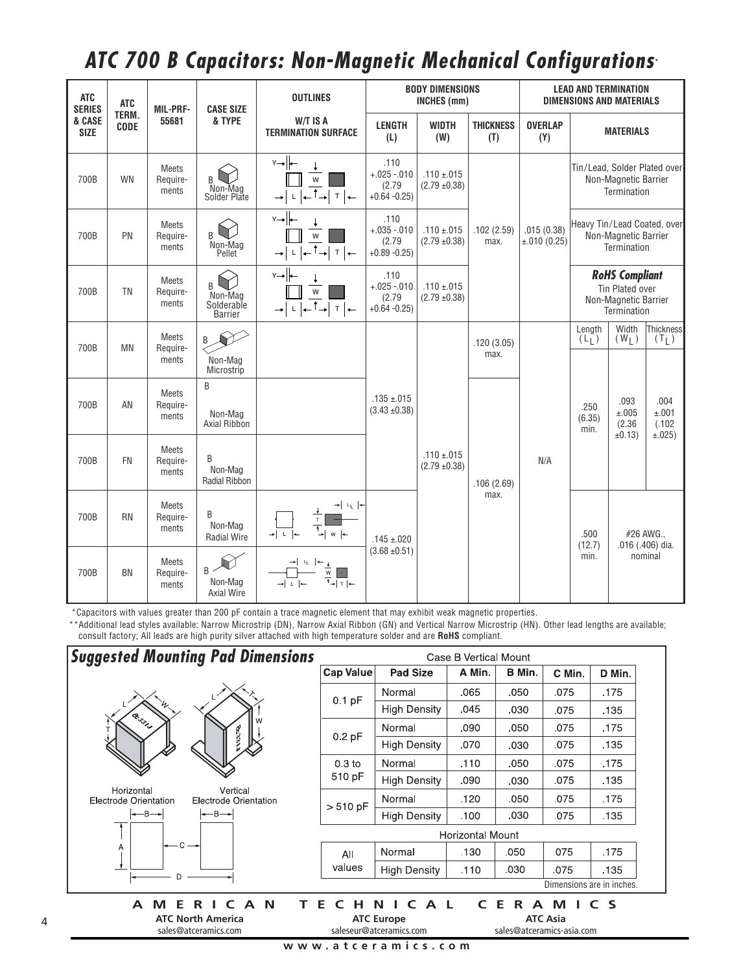## *ATC 700 B Capacitors: Non-Magnetic Mechanical Configurations* **\***

| <b>ATC</b><br><b>SERIES</b> | <b>ATC</b>           | <b>MIL-PRF-</b>                   | <b>CASE SIZE</b>                             | <b>BODY DIMENSIONS</b><br><b>OUTLINES</b><br>INCHES (mm)                                   |                                                  |                                      | <b>LEAD AND TERMINATION</b><br><b>DIMENSIONS AND MATERIALS</b> |                           |                                                                                 |                                     |                                   |
|-----------------------------|----------------------|-----------------------------------|----------------------------------------------|--------------------------------------------------------------------------------------------|--------------------------------------------------|--------------------------------------|----------------------------------------------------------------|---------------------------|---------------------------------------------------------------------------------|-------------------------------------|-----------------------------------|
| & CASE<br><b>SIZE</b>       | TERM.<br><b>CODE</b> | 55681                             | & TYPE                                       | W/T IS A<br><b>TERMINATION SURFACE</b>                                                     | <b>LENGTH</b><br>(L)                             | <b>WIDTH</b><br>(W)                  | <b>THICKNESS</b><br>(T)                                        | <b>OVERLAP</b><br>(Y)     |                                                                                 | <b>MATERIALS</b>                    |                                   |
| 700B                        | <b>WN</b>            | <b>Meets</b><br>Require-<br>ments | B<br>Non-Mag<br>Solder Plate                 | $Y \rightarrow \parallel \leftarrow$<br>W<br>$\mathsf{T}$<br>$\rightarrow$<br>$\leftarrow$ | .110<br>$+.025-.010$<br>(2.79)<br>$+0.64 - 0.25$ | $.110 \pm .015$<br>$(2.79 \pm 0.38)$ |                                                                |                           |                                                                                 | Non-Magnetic Barrier<br>Termination | Tin/Lead, Solder Plated over      |
| 700B                        | PN                   | <b>Meets</b><br>Require-<br>ments | B<br>Non-Mag<br>Pellet                       | $Y \rightarrow  +$<br>W<br>$\mathsf{T}$<br>$\rightarrow$<br>$\leftarrow$                   | .110<br>$+.035-.010$<br>(2.79)<br>$+0.89 - 0.25$ | $.110 \pm .015$<br>$(2.79 \pm 0.38)$ | .102(2.59)<br>max.                                             | .015(0.38)<br>±.010(0.25) | Heavy Tin/Lead Coated, over<br>Non-Magnetic Barrier<br>Termination              |                                     |                                   |
| 700B                        | <b>TN</b>            | <b>Meets</b><br>Require-<br>ments | B<br>Non-Mag<br>Solderable<br><b>Barrier</b> | Y→⊩<br>W<br>T<br>$\leftarrow$                                                              | .110<br>$+.025-.010$<br>(2.79)<br>$+0.64 - 0.25$ | $.110 \pm .015$<br>$(2.79 \pm 0.38)$ |                                                                |                           | <b>RoHS Compliant</b><br>Tin Plated over<br>Non-Magnetic Barrier<br>Termination |                                     |                                   |
| 700B                        | <b>MN</b>            | <b>Meets</b><br>Require-<br>ments | B<br>Non-Mag<br>Microstrip                   |                                                                                            |                                                  |                                      | .120(3.05)<br>max.                                             |                           | Length<br>(L <sub>1</sub> )                                                     | Width<br>$(W_L)$                    | Thickness<br>$(T_L)$              |
| 700B                        | AN                   | Meets<br>Require-<br>ments        | B<br>Non-Mag<br>Axial Ribbon                 |                                                                                            | $.135 \pm .015$<br>$(3.43 \pm 0.38)$             | $.110 \pm .015$<br>$(2.79 \pm 0.38)$ | .106(2.69)<br>max.                                             |                           | .250<br>(6.35)<br>min.                                                          | .093<br>±.005<br>(2.36)<br>±0.13)   | .004<br>±.001<br>(.102)<br>±.025) |
| 700B                        | <b>FN</b>            | <b>Meets</b><br>Require-<br>ments | B<br>Non-Mag<br><b>Radial Ribbon</b>         |                                                                                            |                                                  |                                      |                                                                | N/A                       |                                                                                 |                                     |                                   |
| 700B                        | <b>RN</b>            | <b>Meets</b><br>Require-<br>ments | B<br>Non-Mag<br><b>Radial Wire</b>           | $\rightarrow$ $\mid$ $\mid$ $\mid$ $\mid$ $\leftarrow$<br>T<br>W                           | $.145 \pm .020$                                  |                                      |                                                                |                           | .500<br>(12.7)                                                                  | #26 AWG.,<br>.016 (.406) dia.       |                                   |
| 700B                        | <b>BN</b>            | <b>Meets</b><br>Require-<br>ments | $B \sim$<br>Non-Mag<br><b>Axial Wire</b>     | W<br>$+$   $+$<br>→LL l←                                                                   | $(3.68 \pm 0.51)$                                |                                      |                                                                |                           | min.                                                                            |                                     | nominal                           |

\*Capacitors with values greater than 200 pF contain a trace magnetic element that may exhibit weak magnetic properties.

\*\*Additional lead styles available: Narrow Microstrip (DN), Narrow Axial Ribbon (GN) and Vertical Narrow Microstrip (HN). Other lead lengths are available; consult factory; All leads are high purity silver attached with high temperature solder and are **RoHS** compliant.

| <b>Suggested Mounting Pad Dimensions</b>                                 | Case B Vertical Mount                                                      |                                               |                                                       |        |        |        |  |  |  |
|--------------------------------------------------------------------------|----------------------------------------------------------------------------|-----------------------------------------------|-------------------------------------------------------|--------|--------|--------|--|--|--|
|                                                                          | <b>Cap Value</b>                                                           | <b>Pad Size</b>                               | A Min.                                                | B Min. | C Min. | D Min. |  |  |  |
|                                                                          | $0.1$ pF                                                                   | Normal                                        | .065                                                  | .050   | .075   | .175   |  |  |  |
|                                                                          |                                                                            | <b>High Density</b>                           | .045                                                  | .030   | .075   | .135   |  |  |  |
| Q. Silver                                                                |                                                                            | Normal                                        | .090                                                  | .050   | .075   | .175   |  |  |  |
|                                                                          | 0.2 pF                                                                     | <b>High Density</b>                           | .070                                                  | .030   | .075   | .135   |  |  |  |
|                                                                          | 0.3 <sub>to</sub>                                                          | Normal                                        | .110                                                  | .050   | .075   | .175   |  |  |  |
|                                                                          | 510 pF                                                                     | <b>High Density</b>                           | .090                                                  | .030   | .075   | .135   |  |  |  |
| Horizontal<br>Vertical<br>Electrode Orientation<br>Electrode Orientation | $> 510$ pF                                                                 | Normal                                        | .120                                                  | .050   | .075   | .175   |  |  |  |
| $\leftarrow$ B $\rightarrow$<br>$\leftarrow$ B $\rightarrow$             |                                                                            | <b>High Density</b>                           | .100                                                  | .030   | .075   | .135   |  |  |  |
|                                                                          |                                                                            | <b>Horizontal Mount</b>                       |                                                       |        |        |        |  |  |  |
| $C -$<br>Α                                                               | All                                                                        | Normal                                        | .130                                                  | .050   | .075   | .175   |  |  |  |
| D.                                                                       | values                                                                     | <b>High Density</b>                           | .110                                                  | .030   | .075   | .135   |  |  |  |
|                                                                          |                                                                            | Dimensions are in inches.                     |                                                       |        |        |        |  |  |  |
| N<br>M<br>$\epsilon$<br>A<br>F<br>R.<br>A<br><b>ATC North America</b>    | Е<br>н                                                                     | $\epsilon$<br>A L<br>N I<br><b>ATC Europe</b> | Е<br>$\epsilon$<br>C S<br>R<br>A M<br><b>ATC Asia</b> |        |        |        |  |  |  |
| sales@atceramics.com                                                     | saleseur@atceramics.com<br>sales@atceramics-asia.com<br>www.atceramics.com |                                               |                                                       |        |        |        |  |  |  |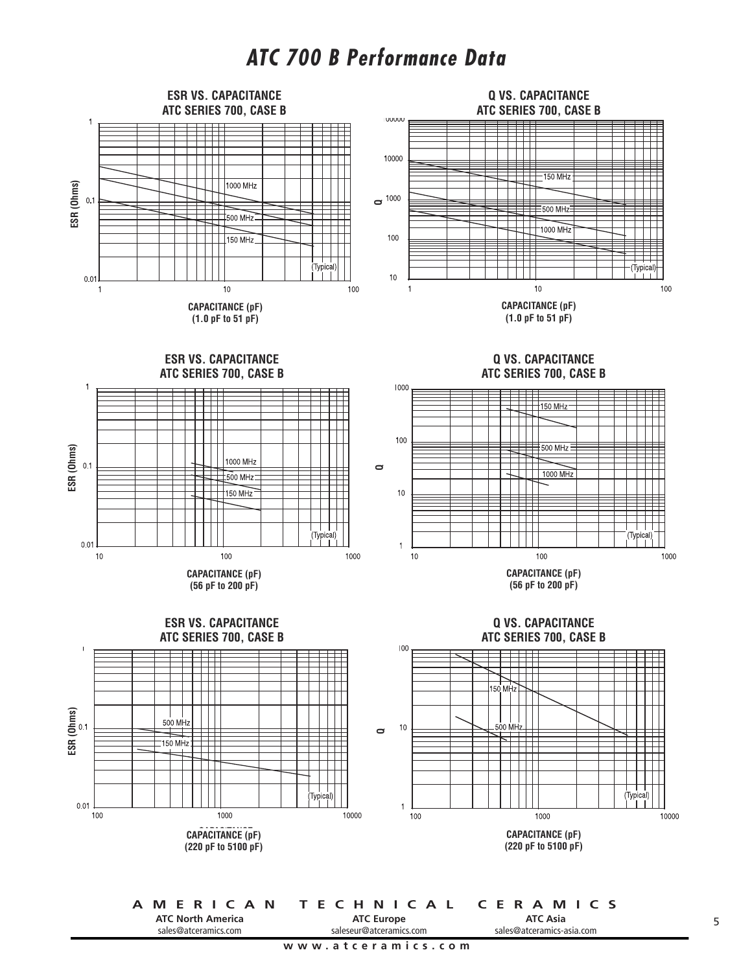## *ATC 700 B Performance Data*



sales@atceramics.com

**ATC Europe** saleseur@atceramics.com

**www.atceramics.com**

**ATC Asia** sales@atceramics-asia.com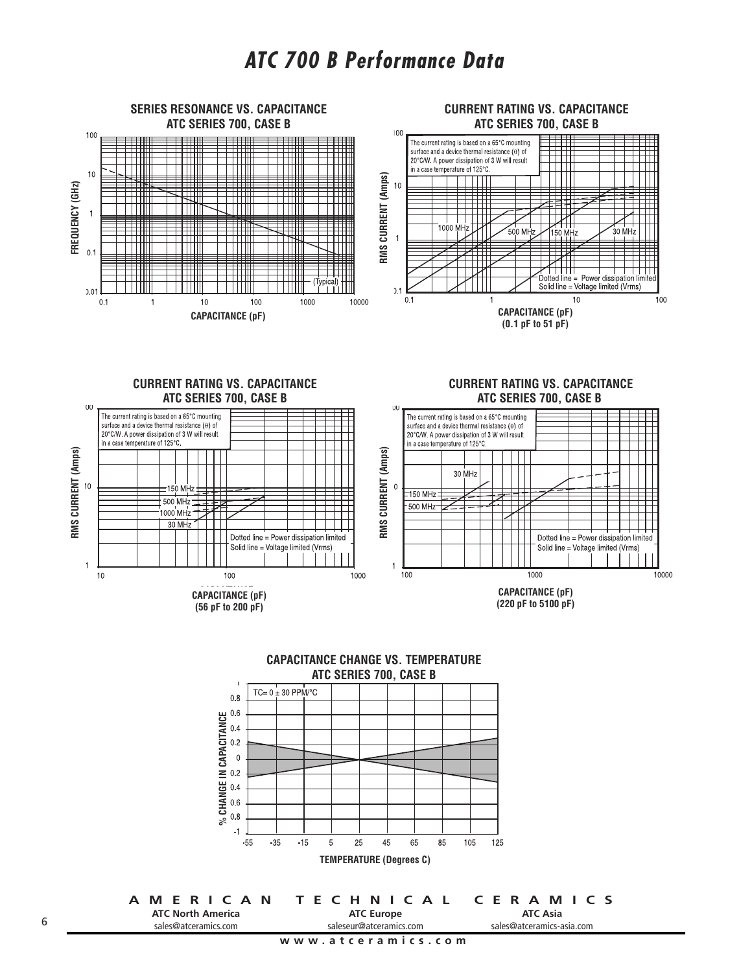





|                          | A MERICAN TECHNICAL CERAMICS |                           |  |  |  |  |
|--------------------------|------------------------------|---------------------------|--|--|--|--|
| <b>ATC North America</b> | <b>ATC Europe</b>            | <b>ATC Asia</b>           |  |  |  |  |
| sales@atceramics.com     | saleseur@atceramics.com      | sales@atceramics-asia.com |  |  |  |  |
|                          |                              |                           |  |  |  |  |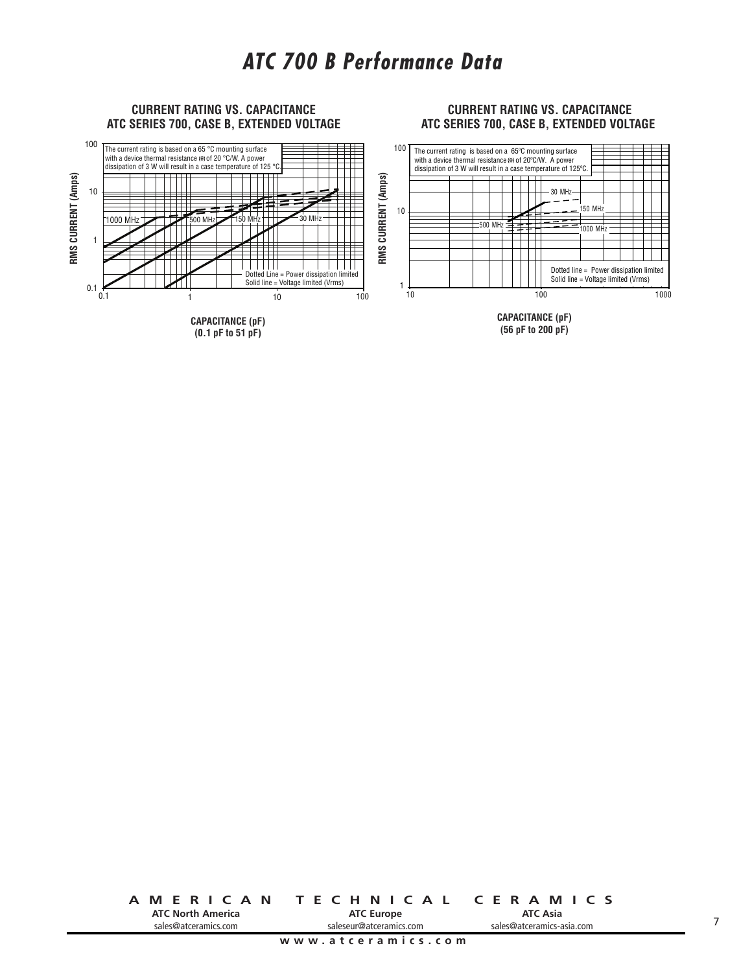

**AMERICAN TECHNICAL CERAMICS ATC North America ATC Europe**

sales@atceramics.com

saleseur@atceramics.com

**ATC Asia** sales@atceramics-asia.com